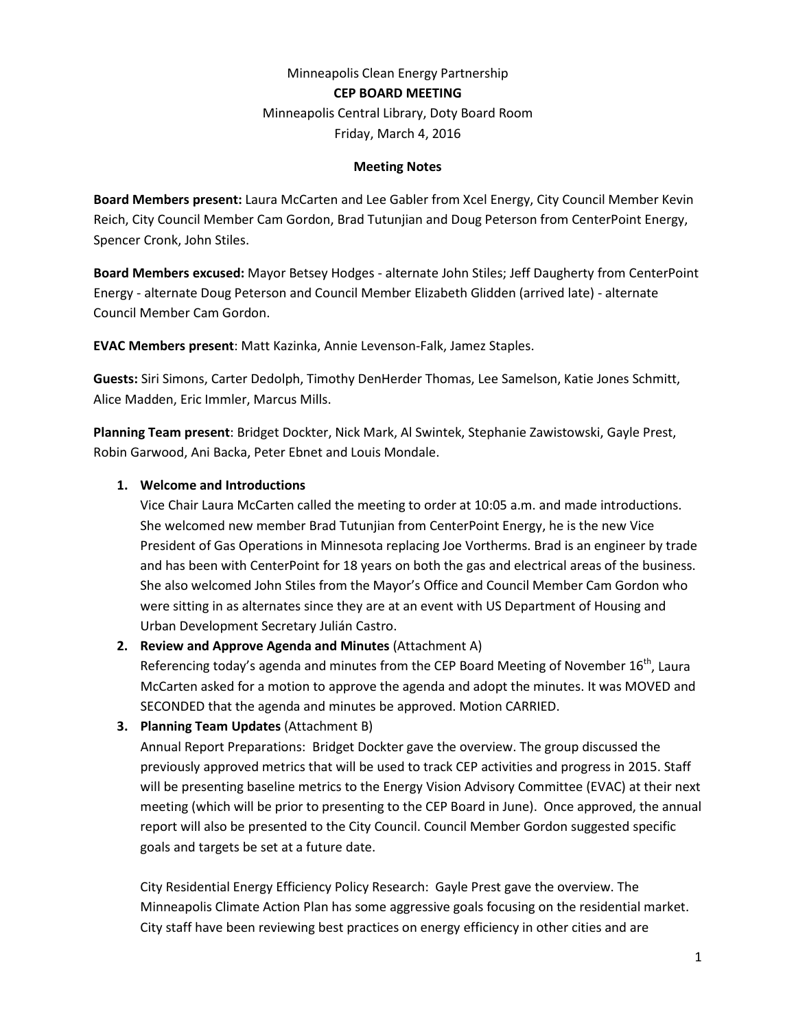# Minneapolis Clean Energy Partnership **CEP BOARD MEETING** Minneapolis Central Library, Doty Board Room

Friday, March 4, 2016

#### **Meeting Notes**

**Board Members present:** Laura McCarten and Lee Gabler from Xcel Energy, City Council Member Kevin Reich, City Council Member Cam Gordon, Brad Tutunjian and Doug Peterson from CenterPoint Energy, Spencer Cronk, John Stiles.

**Board Members excused:** Mayor Betsey Hodges - alternate John Stiles; Jeff Daugherty from CenterPoint Energy - alternate Doug Peterson and Council Member Elizabeth Glidden (arrived late) - alternate Council Member Cam Gordon.

**EVAC Members present**: Matt Kazinka, Annie Levenson-Falk, Jamez Staples.

**Guests:** Siri Simons, Carter Dedolph, Timothy DenHerder Thomas, Lee Samelson, Katie Jones Schmitt, Alice Madden, Eric Immler, Marcus Mills.

**Planning Team present**: Bridget Dockter, Nick Mark, Al Swintek, Stephanie Zawistowski, Gayle Prest, Robin Garwood, Ani Backa, Peter Ebnet and Louis Mondale.

### **1. Welcome and Introductions**

Vice Chair Laura McCarten called the meeting to order at 10:05 a.m. and made introductions. She welcomed new member Brad Tutunjian from CenterPoint Energy, he is the new Vice President of Gas Operations in Minnesota replacing Joe Vortherms. Brad is an engineer by trade and has been with CenterPoint for 18 years on both the gas and electrical areas of the business. She also welcomed John Stiles from the Mayor's Office and Council Member Cam Gordon who were sitting in as alternates since they are at an event with US Department of Housing and Urban Development Secretary Julián Castro.

**2. Review and Approve Agenda and Minutes** (Attachment A)

Referencing today's agenda and minutes from the CEP Board Meeting of November  $16^{th}$ , Laura McCarten asked for a motion to approve the agenda and adopt the minutes. It was MOVED and SECONDED that the agenda and minutes be approved. Motion CARRIED.

**3. Planning Team Updates** (Attachment B)

Annual Report Preparations: Bridget Dockter gave the overview. The group discussed the previously approved metrics that will be used to track CEP activities and progress in 2015. Staff will be presenting baseline metrics to the Energy Vision Advisory Committee (EVAC) at their next meeting (which will be prior to presenting to the CEP Board in June). Once approved, the annual report will also be presented to the City Council. Council Member Gordon suggested specific goals and targets be set at a future date.

City Residential Energy Efficiency Policy Research: Gayle Prest gave the overview. The Minneapolis Climate Action Plan has some aggressive goals focusing on the residential market. City staff have been reviewing best practices on energy efficiency in other cities and are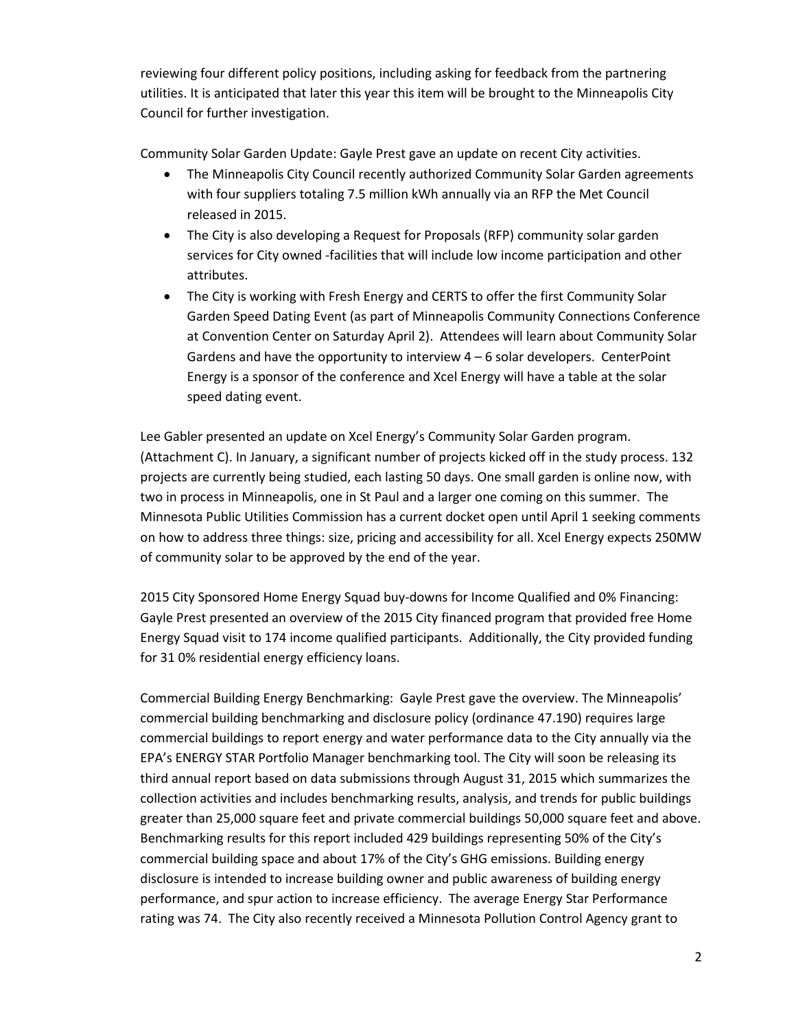reviewing four different policy positions, including asking for feedback from the partnering utilities. It is anticipated that later this year this item will be brought to the Minneapolis City Council for further investigation.

Community Solar Garden Update: Gayle Prest gave an update on recent City activities.

- The Minneapolis City Council recently authorized Community Solar Garden agreements with four suppliers totaling 7.5 million kWh annually via an RFP the Met Council released in 2015.
- The City is also developing a Request for Proposals (RFP) community solar garden services for City owned -facilities that will include low income participation and other attributes.
- The City is working with Fresh Energy and CERTS to offer the first Community Solar Garden Speed Dating Event (as part of Minneapolis Community Connections Conference at Convention Center on Saturday April 2). Attendees will learn about Community Solar Gardens and have the opportunity to interview  $4 - 6$  solar developers. CenterPoint Energy is a sponsor of the conference and Xcel Energy will have a table at the solar speed dating event.

Lee Gabler presented an update on Xcel Energy's Community Solar Garden program. (Attachment C). In January, a significant number of projects kicked off in the study process. 132 projects are currently being studied, each lasting 50 days. One small garden is online now, with two in process in Minneapolis, one in St Paul and a larger one coming on this summer. The Minnesota Public Utilities Commission has a current docket open until April 1 seeking comments on how to address three things: size, pricing and accessibility for all. Xcel Energy expects 250MW of community solar to be approved by the end of the year.

2015 City Sponsored Home Energy Squad buy-downs for Income Qualified and 0% Financing: Gayle Prest presented an overview of the 2015 City financed program that provided free Home Energy Squad visit to 174 income qualified participants. Additionally, the City provided funding for 31 0% residential energy efficiency loans.

Commercial Building Energy Benchmarking: Gayle Prest gave the overview. The Minneapolis' commercial building benchmarking and disclosure policy (ordinance 47.190) requires large commercial buildings to report energy and water performance data to the City annually via the EPA's ENERGY STAR Portfolio Manager benchmarking tool. The City will soon be releasing its third annual report based on data submissions through August 31, 2015 which summarizes the collection activities and includes benchmarking results, analysis, and trends for public buildings greater than 25,000 square feet and private commercial buildings 50,000 square feet and above. Benchmarking results for this report included 429 buildings representing 50% of the City's commercial building space and about 17% of the City's GHG emissions. Building energy disclosure is intended to increase building owner and public awareness of building energy performance, and spur action to increase efficiency. The average Energy Star Performance rating was 74. The City also recently received a Minnesota Pollution Control Agency grant to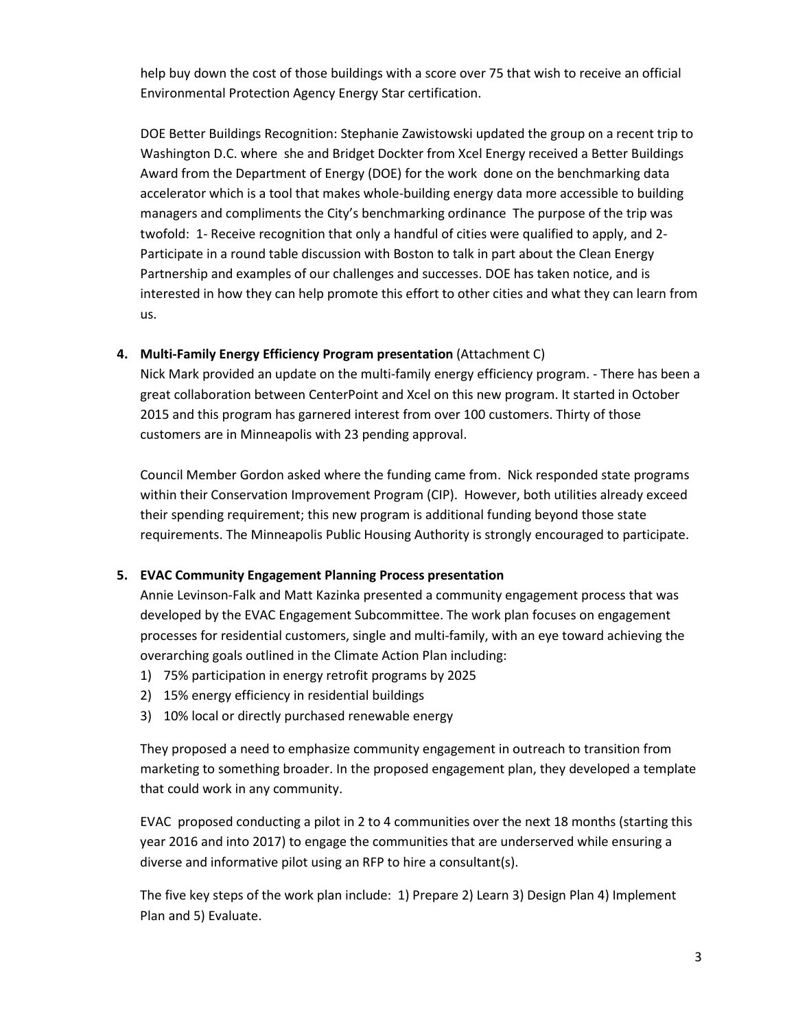help buy down the cost of those buildings with a score over 75 that wish to receive an official Environmental Protection Agency Energy Star certification.

DOE Better Buildings Recognition: Stephanie Zawistowski updated the group on a recent trip to Washington D.C. where she and Bridget Dockter from Xcel Energy received a Better Buildings Award from the Department of Energy (DOE) for the work done on the benchmarking data accelerator which is a tool that makes whole-building energy data more accessible to building managers and compliments the City's benchmarking ordinance The purpose of the trip was twofold: 1- Receive recognition that only a handful of cities were qualified to apply, and 2- Participate in a round table discussion with Boston to talk in part about the Clean Energy Partnership and examples of our challenges and successes. DOE has taken notice, and is interested in how they can help promote this effort to other cities and what they can learn from us.

**4. Multi-Family Energy Efficiency Program presentation** (Attachment C)

Nick Mark provided an update on the multi-family energy efficiency program. - There has been a great collaboration between CenterPoint and Xcel on this new program. It started in October 2015 and this program has garnered interest from over 100 customers. Thirty of those customers are in Minneapolis with 23 pending approval.

Council Member Gordon asked where the funding came from. Nick responded state programs within their Conservation Improvement Program (CIP). However, both utilities already exceed their spending requirement; this new program is additional funding beyond those state requirements. The Minneapolis Public Housing Authority is strongly encouraged to participate.

## **5. EVAC Community Engagement Planning Process presentation**

Annie Levinson-Falk and Matt Kazinka presented a community engagement process that was developed by the EVAC Engagement Subcommittee. The work plan focuses on engagement processes for residential customers, single and multi-family, with an eye toward achieving the overarching goals outlined in the Climate Action Plan including:

- 1) 75% participation in energy retrofit programs by 2025
- 2) 15% energy efficiency in residential buildings
- 3) 10% local or directly purchased renewable energy

They proposed a need to emphasize community engagement in outreach to transition from marketing to something broader. In the proposed engagement plan, they developed a template that could work in any community.

EVAC proposed conducting a pilot in 2 to 4 communities over the next 18 months (starting this year 2016 and into 2017) to engage the communities that are underserved while ensuring a diverse and informative pilot using an RFP to hire a consultant(s).

The five key steps of the work plan include: 1) Prepare 2) Learn 3) Design Plan 4) Implement Plan and 5) Evaluate.